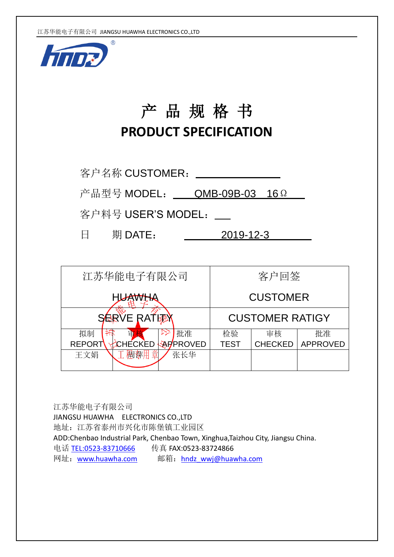

# 产 品 规 格 书 **PRODUCT SPECIFICATION**

| 客户名称 CUSTOMER:        |                                    |
|-----------------------|------------------------------------|
|                       | 产品型号 MODEL: QMB-09B-03 16 $\Omega$ |
| 客户料号 USER'S MODEL: __ |                                    |
| 期 DATE:<br>$H^+$      | 2019-12-3                          |

| 江苏华能电子有限公司                                         | 客户回签                                      |  |  |
|----------------------------------------------------|-------------------------------------------|--|--|
| <b>HUAWHA</b>                                      | <b>CUSTOMER</b>                           |  |  |
| SERVE RATERY                                       | <b>CUSTOMER RATIGY</b>                    |  |  |
| 批准<br>拟制<br>宙                                      | 检验<br>审核<br>批准                            |  |  |
| <b>CHÉCKED</b><br><b>APPROVED</b><br><b>REPORT</b> | <b>CHECKED</b><br>APPROVED<br><b>TEST</b> |  |  |
| 童<br>张长华<br>王文娟<br>樹薪用                             |                                           |  |  |

江苏华能电子有限公司 JIANGSU HUAWHA ELECTRONICS CO.,LTD 地址:江苏省泰州市兴化市陈堡镇工业园区 ADD:Chenbao Industrial Park, Chenbao Town, Xinghua,Taizhou City, Jiangsu China. 电话 <u>TEL:0523-83710666</u> 传真 FAX:0523-83724866 网址:<u>www.huawha.com</u> 邮箱:<u>[hndz\\_wwj@huawha.com](mailto:hn@huawha.com)</u>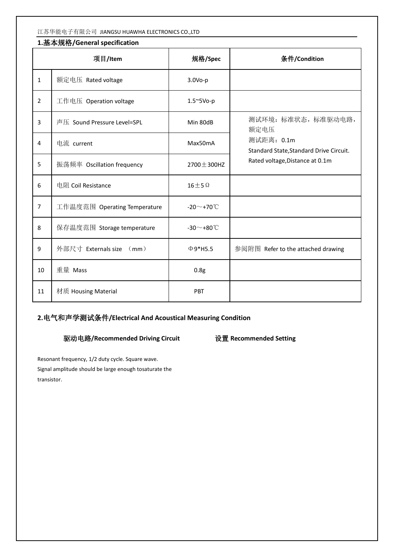| 1.基本规格/General specification |  |
|------------------------------|--|
|------------------------------|--|

|                | 项目/Item                      | 规格/Spec                    | 条件/Condition                                          |
|----------------|------------------------------|----------------------------|-------------------------------------------------------|
| $\mathbf{1}$   | 额定电压 Rated voltage           | $3.0Vo-p$                  |                                                       |
| $\overline{2}$ | 工作电压 Operation voltage       | 1.5~5Vo-p                  |                                                       |
| 3              | 声压 Sound Pressure Level=SPL  | Min 80dB                   | 测试环境: 标准状态, 标准驱动电路,<br>额定电压                           |
| 4              | 电流 current                   | Max50mA                    | 测试距离: 0.1m<br>Standard State, Standard Drive Circuit. |
| 5              | 振荡频率 Oscillation frequency   | $2700 \pm 300$ HZ          | Rated voltage, Distance at 0.1m                       |
| 6              | 电阻 Coil Resistance           | $16 \pm 5 \Omega$          |                                                       |
| 7              | 工作温度范围 Operating Temperature | -20 $\sim$ +70 $\degree$ C |                                                       |
| 8              | 保存温度范围 Storage temperature   | $-30$ ~+80 $°C$            |                                                       |
| 9              | 外部尺寸 Externals size<br>(mm)  | $\Phi$ 9*H5.5              | 参阅附图 Refer to the attached drawing                    |
| 10             | 重量 Mass                      | 0.8g                       |                                                       |
| 11             | 材质 Housing Material          | <b>PBT</b>                 |                                                       |

## **2.**电气和声学测试条件**/Electrical And Acoustical Measuring Condition**

#### 驱动电路**/Recommended Driving Circuit** 设置 **Recommended Setting**

Resonant frequency, 1/2 duty cycle. Square wave. Signal amplitude should be large enough tosaturate the transistor.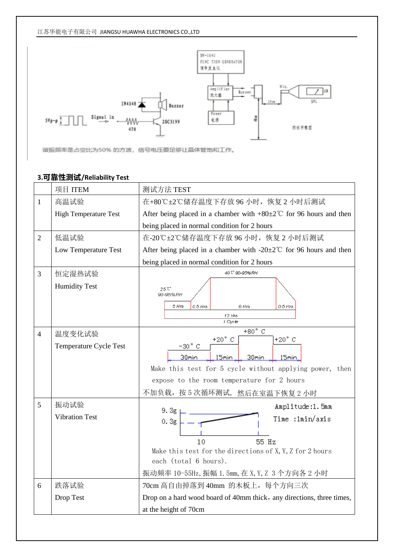

谐振频率是占空比为50%的方波,信号电压要足够让晶体管饱和工作。

#### **3.可靠性测试/Reliability Test**

|                | 项目 ITEM                          | 测试方法 TEST                                                                                                                                                                                                                              |  |  |
|----------------|----------------------------------|----------------------------------------------------------------------------------------------------------------------------------------------------------------------------------------------------------------------------------------|--|--|
| $\mathbf{1}$   | 高温试验                             | 在+80℃±2℃储存温度下存放 96 小时, 恢复 2 小时后测试                                                                                                                                                                                                      |  |  |
|                | <b>High Temperature Test</b>     | After being placed in a chamber with $+80 \pm 2$ °C for 96 hours and then                                                                                                                                                              |  |  |
|                |                                  | being placed in normal condition for 2 hours                                                                                                                                                                                           |  |  |
| $\overline{2}$ | 低温试验                             | 在-20℃±2℃储存温度下存放 96 小时, 恢复 2 小时后测试                                                                                                                                                                                                      |  |  |
|                | Low Temperature Test             | After being placed in a chamber with -20 $\pm$ 2°C for 96 hours and then                                                                                                                                                               |  |  |
|                |                                  | being placed in normal condition for 2 hours                                                                                                                                                                                           |  |  |
| 3              | 恒定湿热试验<br><b>Humidity Test</b>   | 40°C 90-95% RH<br>25 C<br>90-95%RH<br>5 Hrs<br>$0.5$ Hrs<br>6 Hrs<br>$0.5$ Hrs<br>12 Hrs<br>1 Cycle                                                                                                                                    |  |  |
| $\overline{4}$ | 温度变化试验<br>Temperature Cycle Test | $+80^{\circ}$ C<br>$+20^{\circ}$ C<br>$+20^{\circ}$ C<br>$-30$ °C<br>30min<br>15min<br>30min<br>15min<br>Make this test for 5 cycle without applying power, then<br>expose to the room temperature for 2 hours                         |  |  |
| 5              | 振动试验<br><b>Vibration Test</b>    | 不加负载, 按5次循环测试, 然后在室温下恢复2小时<br>Amplitude:1.5mm<br>9.3g<br>Time : 1min/axis<br>0.3g<br>10<br>55 Hz<br>Make this test for the directions of X, Y, Z for 2 hours<br>each (total 6 hours).<br>振动频率 10-55Hz, 振幅 1.5mm, 在 X, Y, Z 3 个方向各 2 小时 |  |  |
| 6              | 跌落试验                             | 70cm 高自由掉落到 40mm 的木板上, 每个方向三次                                                                                                                                                                                                          |  |  |
|                | Drop Test                        | Drop on a hard wood board of 40mm thick, any directions, three times,                                                                                                                                                                  |  |  |
|                |                                  | at the height of 70cm                                                                                                                                                                                                                  |  |  |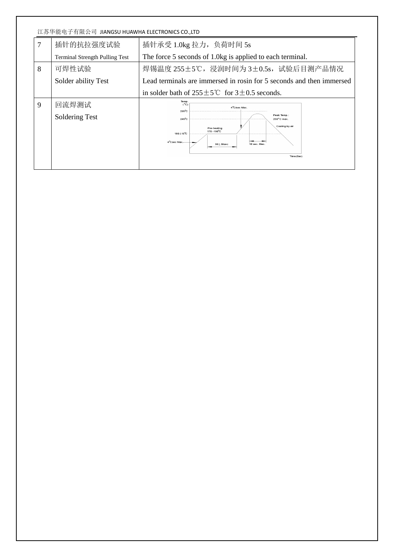| 江苏华能电子有限公司 JIANGSU HUAWHA ELECTRONICS CO.,LTD |                                       |                                                                                  |  |  |
|-----------------------------------------------|---------------------------------------|----------------------------------------------------------------------------------|--|--|
| 7                                             | 插针的抗拉强度试验                             | 插针承受 1.0kg 拉力, 负荷时间 5s                                                           |  |  |
|                                               | <b>Terminal Strength Pulling Test</b> | The force 5 seconds of 1.0kg is applied to each terminal.                        |  |  |
| 8                                             | 可焊性试验                                 | 焊锡温度 255±5℃, 浸润时间为 3±0.5s, 试验后目测产品情况                                             |  |  |
|                                               | Solder ability Test                   | Lead terminals are immersed in rosin for 5 seconds and then immersed             |  |  |
|                                               |                                       | in solder bath of $255 \pm 5^{\circ}$ for $3 \pm 0.5$ seconds.                   |  |  |
| 9                                             | 回流焊测试                                 | Temp.<br>(° <sub>C</sub> )<br>4 <sup>°</sup> C/sec Max.                          |  |  |
|                                               | <b>Soldering Test</b>                 | $265^{\circ}$ C<br>Peak Temp.:<br>$245^{\circ}$ C<br>$250^{\circ}$ C max.        |  |  |
|                                               |                                       | Cooling by air<br>Pre-heating<br>$170 - 190^{\circ}$ C<br>$180 \pm 10^{\circ}$ C |  |  |
|                                               |                                       | 4°Csec Max.<br>10 sec. Max.<br>$90 \pm 30$ sec                                   |  |  |
|                                               |                                       | Time(Sec)                                                                        |  |  |
|                                               |                                       |                                                                                  |  |  |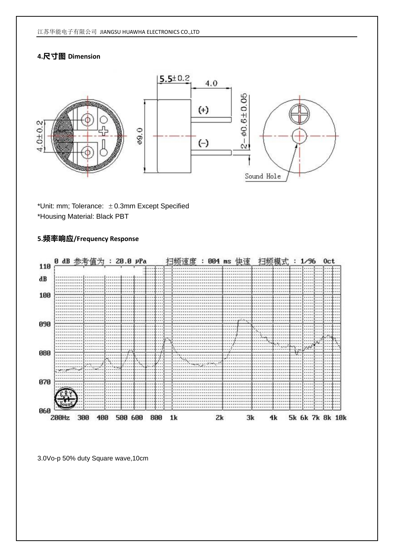### **4.尺寸图 Dimension**



\*Unit: mm; Tolerance:  $\pm$  0.3mm Except Specified \*Housing Material: Black PBT

#### **5.频率响应/Frequency Response**



3.0Vo-p 50% duty Square wave,10cm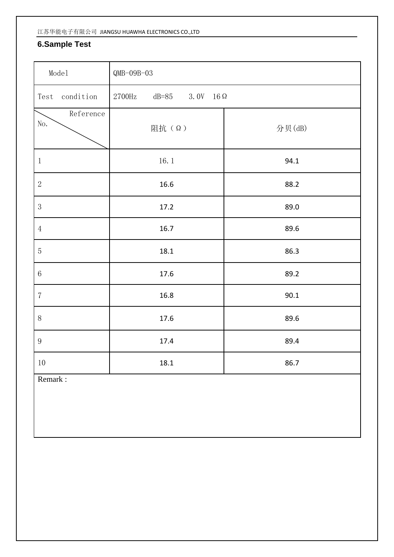## **6.Sample Test**

| Model<br>$QMB-O9B-O3$  |                                           |        |  |
|------------------------|-------------------------------------------|--------|--|
| condition<br>Test      | 2700Hz<br>$dB = 85$<br>$3.0V$ 16 $\Omega$ |        |  |
| Reference<br>No.       | 阻抗 (Ω)                                    | 分贝(dB) |  |
| $\mathbf{1}$           | 16.1                                      | 94.1   |  |
| $\sqrt{2}$             | 16.6                                      | 88.2   |  |
| $\mathfrak{Z}$<br>17.2 |                                           | 89.0   |  |
| $\overline{4}$         | 16.7                                      | 89.6   |  |
| $\mathbf 5$            | 18.1                                      | 86.3   |  |
| $\,6\,$                | 17.6                                      | 89.2   |  |
| $\overline{7}$         | 16.8                                      | 90.1   |  |
| $8\,$                  | 17.6                                      | 89.6   |  |
| $\boldsymbol{9}$       | 17.4                                      | 89.4   |  |
| $10\,$                 | 18.1                                      | 86.7   |  |

Remark :